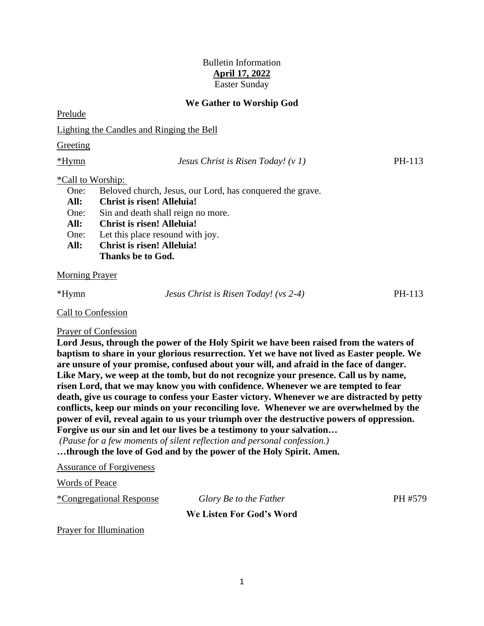# Bulletin Information **April 17, 2022** Easter Sunday

# **We Gather to Worship God**

Prelude

Lighting the Candles and Ringing the Bell

Greeting

\*Hymn *Jesus Christ is Risen Today! (v 1)* PH-113

# \*Call to Worship:

One: Beloved church, Jesus, our Lord, has conquered the grave.

- **All: Christ is risen! Alleluia!**
- One: Sin and death shall reign no more.
- **All: Christ is risen! Alleluia!**
- One: Let this place resound with joy.
- **All: Christ is risen! Alleluia!**
	- **Thanks be to God.**

Morning Prayer

\*Hymn *Jesus Christ is Risen Today! (vs 2-4)* PH-113

### Call to Confession

# Prayer of Confession

**Lord Jesus, through the power of the Holy Spirit we have been raised from the waters of baptism to share in your glorious resurrection. Yet we have not lived as Easter people. We are unsure of your promise, confused about your will, and afraid in the face of danger. Like Mary, we weep at the tomb, but do not recognize your presence. Call us by name, risen Lord, that we may know you with confidence. Whenever we are tempted to fear death, give us courage to confess your Easter victory. Whenever we are distracted by petty conflicts, keep our minds on your reconciling love. Whenever we are overwhelmed by the power of evil, reveal again to us your triumph over the destructive powers of oppression. Forgive us our sin and let our lives be a testimony to your salvation…**

*(Pause for a few moments of silent reflection and personal confession.)*

**…through the love of God and by the power of the Holy Spirit. Amen.**

Assurance of Forgiveness

Words of Peace

\*Congregational Response *Glory Be to the Father* PH #579

# **We Listen For God's Word**

Prayer for Illumination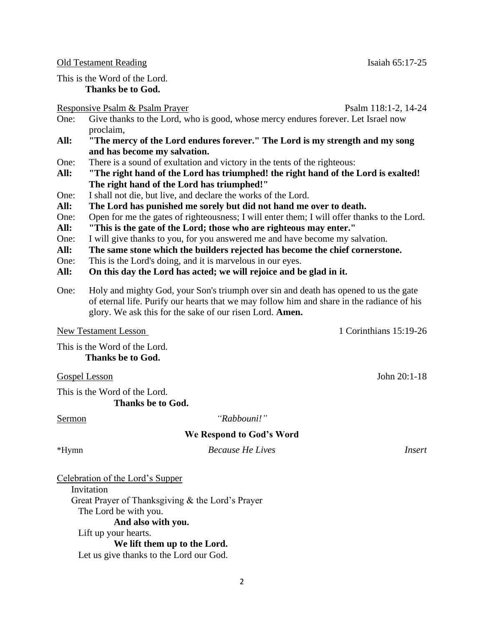Old Testament Reading Isaiah 65:17-25

This is the Word of the Lord. **Thanks be to God.**

### Responsive Psalm & Psalm Prayer Psalm 118:1-2, 14-24

- One: Give thanks to the Lord, who is good, whose mercy endures forever. Let Israel now proclaim,
- **All: "The mercy of the Lord endures forever." The Lord is my strength and my song and has become my salvation.**
- One: There is a sound of exultation and victory in the tents of the righteous:
- **All: "The right hand of the Lord has triumphed! the right hand of the Lord is exalted! The right hand of the Lord has triumphed!"**
- One: I shall not die, but live, and declare the works of the Lord.
- **All: The Lord has punished me sorely but did not hand me over to death.**
- One: Open for me the gates of righteousness; I will enter them; I will offer thanks to the Lord.
- **All: "This is the gate of the Lord; those who are righteous may enter."**
- One: I will give thanks to you, for you answered me and have become my salvation.
- **All: The same stone which the builders rejected has become the chief cornerstone.**
- One: This is the Lord's doing, and it is marvelous in our eyes.
- **All: On this day the Lord has acted; we will rejoice and be glad in it.**
- One: Holy and mighty God, your Son's triumph over sin and death has opened to us the gate of eternal life. Purify our hearts that we may follow him and share in the radiance of his glory. We ask this for the sake of our risen Lord. **Amen.**

This is the Word of the Lord. **Thanks be to God.**

Gospel Lesson John 20:1-18

This is the Word of the Lord. **Thanks be to God.**

# Sermon *"Rabbouni!"*

# **We Respond to God's Word**

\*Hymn *Because He Lives Insert*

Celebration of the Lord's Supper

**Invitation** Great Prayer of Thanksgiving & the Lord's Prayer The Lord be with you. **And also with you.** Lift up your hearts. **We lift them up to the Lord.** Let us give thanks to the Lord our God.

New Testament Lesson 1 Corinthians 15:19-26